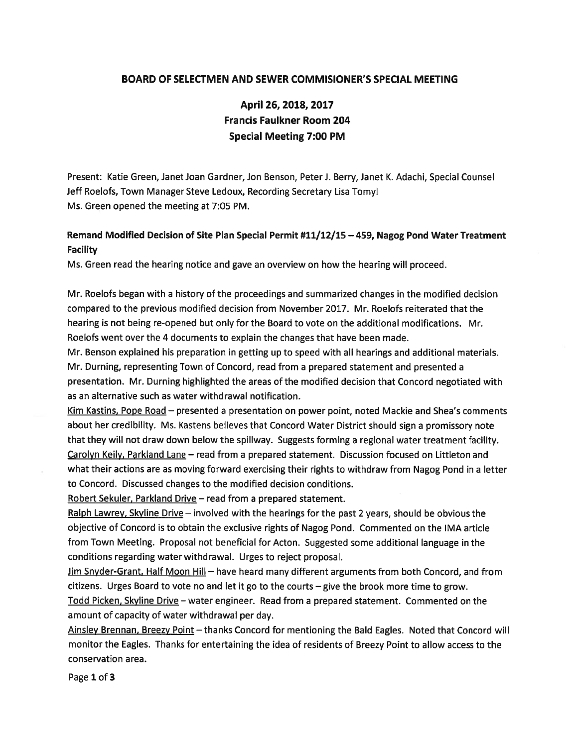### BOARD OF SELECTMEN AND SEWER COMMISIONER'S SPECIAL MEETING

# April 26, 2018, 2017 Francis Faulkner Room 204 Special Meeting 7:00 PM

Present: Katie Green, Janet Joan Gardner, Jon Benson, Peter J. Berry, Janet K. Adachi, Special Counsel Jeff Roelofs, Town Manager Steve Ledoux, Recording Secretary Lisa Tomyl Ms. Green opened the meeting at 7:05 PM.

## Remand Modified Decision of Site Plan Special Permit #11/12/15 —459, Nagog Pond Water Treatment Facility

Ms. Green read the hearing notice and gave an overview on how the hearing will proceed.

Mr. Roelofs began with <sup>a</sup> history of the proceedings and summarized changes in the modified decision compared to the previous modified decision from November 2017. Mr. Roelofs reiterated that the hearing is not being re-opened but only for the Board to vote on the additional modifications. Mr. Roelofs went over the 4 documents to explain the changes that have been made.

Mr. Benson explained his preparation in getting up to speed with all hearings and additional materials. Mr. Durning, representing Town of Concord, read from <sup>a</sup> prepared statement and presented <sup>a</sup> presentation. Mr. Durning highlighted the areas of the modified decision that Concord negotiated with as an alternative such as water withdrawal notification.

Kim Kastins, Pope Road - presented a presentation on power point, noted Mackie and Shea's comments about her credibility. Ms. Kastens believes that Concord Water District should sign <sup>a</sup> promissory note that they will not draw down below the spillway. Suggests forming <sup>a</sup> regional water treatment facility. Carolyn Keily, Parkland Lane — read from <sup>a</sup> prepared statement. Discussion focused on Littleton and what their actions are as moving forward exercising their rights to withdraw from Nagog Pond in <sup>a</sup> letter to Concord. Discussed changes to the modified decision conditions.

Robert Sekuler, Parkland Drive — read from <sup>a</sup> prepared statement.

Ralph Lawrey, Skyline Drive - involved with the hearings for the past 2 years, should be obvious the objective of Concord is to obtain the exclusive rights of Nagog Pond. Commented on the IMA article from Town Meeting. Proposal not beneficial for Acton. Suggested some additional language in the conditions regarding water withdrawal. Urges to reject proposal.

Jim Snyder-Grant, Half Moon Hill — have heard many different arguments from both Concord, and from citizens. Urges Board to vote no and let it go to the courts — give the brook more time to grow. Todd Picken, Skyline Drive — water engineer. Read from <sup>a</sup> prepared statement. Commented on the amount of capacity of water withdrawal per day.

Ainsley Brennan, Breezy Point — thanks Concord for mentioning the Bald Eagles. Noted that Concord will monitor the Eagles. Thanks for entertaining the idea of residents of Breezy Point to allow access to the conservation area.

Page 1 of 3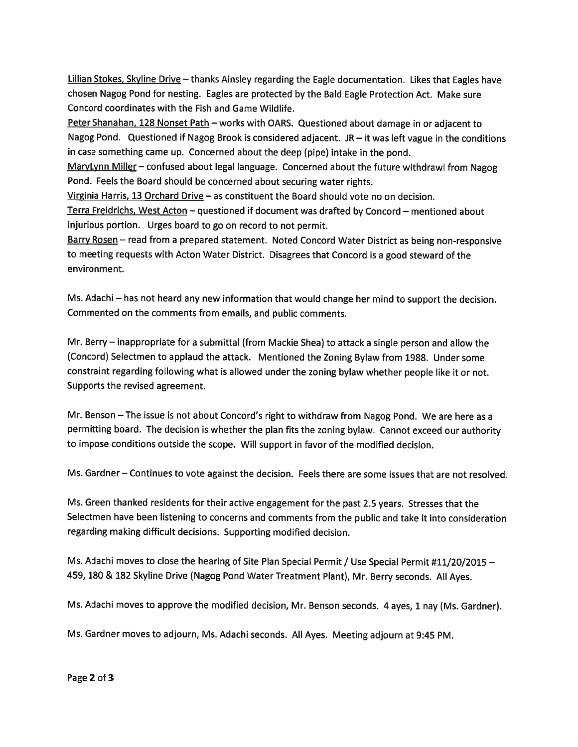Lillian Stokes, Skyline Drive - thanks Ainsley regarding the Eagle documentation. Likes that Eagles have chosen Nagog Pond for nesting. Eagles are protected by the Bald Eagle Protection Act. Make sure Concord coordinates with the Fish and Game Wildlife.

Peter Shanahan, 128 Nonset Path - works with OARS. Questioned about damage in or adjacent to Nagog Pond. Questioned if Nagog Brook is considered adjacent. JR  $-$  it was left vague in the conditions in case something came up. Concerned about the deep (pipe) intake in the pond.

MaryLynn Miller - confused about legal language. Concerned about the future withdrawl from Nagog Pond. Feels the Board should be concerned about securing water rights.

Virginia Harris, 13 Orchard Drive — as constituent the Board should vote no on decision.

Terra Freidrichs, West Acton — questioned if document was drafted by Concord — mentioned about injurious portion. Urges board to go on record to not permit.

Barry Rosen — read from <sup>a</sup> prepare<sup>d</sup> statement. Noted Concord Water District as being non-responsive to meeting requests with Acton Water District. Disagrees that Concord is <sup>a</sup> goo<sup>d</sup> steward of the environment.

Ms. Adachi — has not heard any new information that would change her mind to suppor<sup>t</sup> the decision. Commented on the comments from emails, and public comments.

Mr. Berry — inappropriate for <sup>a</sup> submittal (from Mackie Shea) to attack <sup>a</sup> single person and allow the (Concord) Selectmen to applaud the attack. Mentioned the Zoning Bylaw from 1988. Under some constraint regarding following what is allowed under the zoning bylaw whether people like it or not. Supports the revised agreement.

Mr. Benson —The issue is not about Concord's right to withdraw from Nagog Pond. We are here as <sup>a</sup> permitting board. The decision is whether the <sup>p</sup>lan fits the zoning bylaw. Cannot exceed our authority to impose conditions outside the scope. Will suppor<sup>t</sup> in favor of the modified decision.

Ms. Gardner — Continues to vote against the decision. Feels there are some issues that are not resolved.

Ms. Green thanked residents for their active engagemen<sup>t</sup> for the pas<sup>t</sup> 2.5 years. Stresses that the Selectmen have been listening to concerns and comments from the public and take it into consideration regarding making difficult decisions. Supporting modified decision.

Ms. Adachi moves to close the hearing of Site Plan Special Permit / Use Special Permit #11/20/2015  $-$ 459, <sup>180</sup> & <sup>182</sup> Skyline Drive (Nagog Pond Water Treatment Plant), Mr. Berry seconds. All Ayes.

Ms. Adachi moves to approve the modified decision, Mr. Benson seconds. <sup>4</sup> ayes, <sup>1</sup> nay (Ms. Gardner).

Ms. Gardner moves to adjourn, Ms. Adachi seconds. All Ayes. Meeting adjourn at 9:45 PM.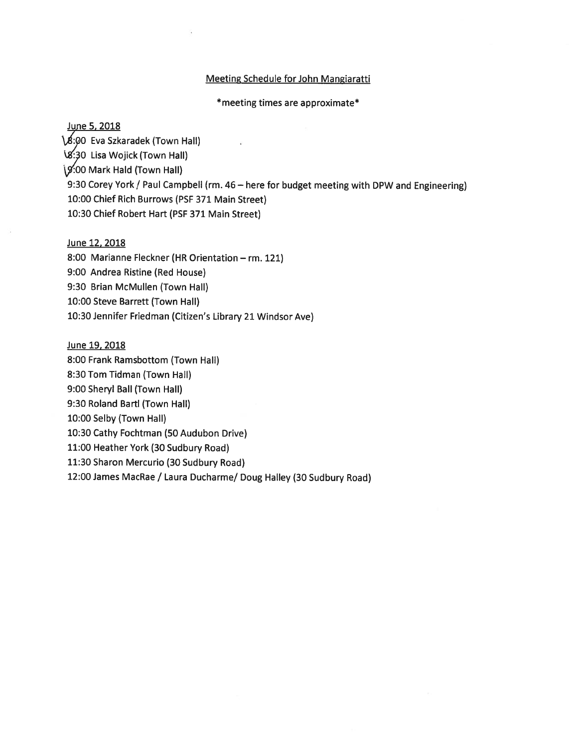#### Meeting Schedule for John Mangiaratti

\*meeting times are approximate\*

#### June 5, 2018

18:00 Eva Szkaradek (Town Hall) \SO Lisa Wojick (Town Hall)  $\sqrt{9}$ :00 Mark Hald (Town Hall) 9:30 Corey York / Paul Campbell (rm. 46— here for budget meeting with DPW and Engineering) 10:00 Chief Rich Burrows (PSF 371 Main Street) 10:30 Chief Robert Hart (PSF 371 Main Street)

#### June 12, 2018

8:00 Marianne Fleckner (HR Orientation — rm. 121) 9:00 Andrea Ristine (Red House) 9:30 Brian McMullen (Town Hall) 10:00 Steve Barrett (Town Hall) 10:30 Jennifer Friedman (Citizen's Library <sup>21</sup> Windsor Aye)

June 19, 2018

8:00 Frank Ramsbottom (Town Hall)

8:30 Tom Tidman (Town Hall)

9:00 Sheryl Ball (Town Hall)

9:30 Roland Bartl (Town Hall)

10:00 Selby (Town Hall)

10:30 Cathy Fochtman (50 Audubon Drive)

11:00 Heather York (30 Sudbury Road)

11:30 Sharon Mercurio (30 Sudbury Road)

12:00 James MacRae / Laura Ducharme/ Doug Halley (30 Sudbury Road)